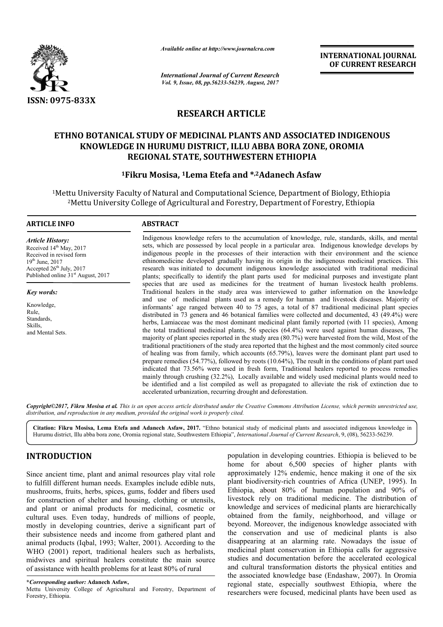

*Available online at http://www.journalcra.com*

*International Journal of Current Research Vol. 9, Issue, 08, pp.56233-56239, August, 2017* **INTERNATIONAL JOURNAL OF CURRENT RESEARCH** 

# **RESEARCH ARTICLE**

# **ETHNO BOTANICAL STUDY OF MEDICINAL PLANTS AND ASSOCIATED INDIGENOUS**  ) BOTANICAL STUDY OF MEDICINAL PLANTS AND ASSOCIATED INDIGE<br>KNOWLEDGE IN HURUMU DISTRICT, ILLU ABBA BORA ZONE, OROMIA **REGIONAL STATE, SOUTHWESTERN ETHIOPIA**

# **1Fikru Mosisa Fikru Mosisa, 1Lema Etefa and \*,2Adanech Asfaw**

<sup>1</sup>Mettu University Faculty of Natural and Computational Science, Department of Biology, Ethiopia rtu University Faculty of Natural and Computational Science, Department of Biology, Ethi<br><sup>2</sup>Mettu University College of Agricultural and Forestry, Department of Forestry, Ethiopia

### **ARTICLE INFO ABSTRACT**

*Article History:* Received 14<sup>th</sup> May, 2017 Received in revised form 19th June, 2017 Accepted  $26<sup>th</sup>$  July, 2017 Published online 31<sup>st</sup> August, 2017

*Key words:*

Knowledge, Rule, Standards, Skills, and Mental Sets.

Indigenous knowledge refers to the accumulation of knowledge, rule, standards, skills, and mental sets, which are possessed by local people in a particular area. Indigenous knowledge develops by indigenous people in the processes of their interaction with their environment and the science ethinomedicine developed gradually having its origin in the indigenous medicinal practices. This research was initiated to document indigenous knowledge associated with traditional medicinal plants; specifically to identify the plant parts used for medicinal purposes and investigate plant species that are used as medicines for the treatment of human livestock health problems. Indigenous knowledge refers to the accumulation of knowledge, rule, standards, skills, and mental sets, which are possessed by local people in a particular area. Indigenous knowledge develops by indigenous people in the pr and use of medicinal plants used as a remedy for human and livestock diseases. Majority of informants' age ranged between 40 to 75 ages, a total of 87 traditional medicinal plant species distributed in 73 genera and 46 botanical families were collected and documented, 43 (49.4%) were herbs, Lamiaceae was the most dominant medicinal plant family reported (with 11 species), Among the total traditional medicinal plants, 56 species (64.4%) were used against human diseases, The majority of plant species reported in the study area (80.7%) were harvested from the wild, Most of the traditional practitioners of the study area reported that the highest and the most commonly cited source of healing was from family, which accounts (65. (65.79%), leaves were the dominant plant part used to prepare remedies (54.77%), followed by roots (10.64%), The result in the conditions of plant part used indicated that 73.56% were used in fresh form, Traditional healers reported to process remedies mainly through crushing (32.2%), Locally available and widely used medicinal plants would need to be identified and a list compiled as well as propagated to alleviate the risk of extinction due to accelerated urbanization, recurring drought and deforestation. informants' age ranged between 40 to 75 ages, a total of 87 traditional medicinal plant speedistributed in 73 genera and 46 botanical families were collected and documented, 43 (49.4%) wherbs, Lamiaceae was the most domina **EXERVATIONAL JOURNAL FORMAL FORMAL FORMAL FORMAL FORMAL CONSENDANT CONSENDANT CONSENDANT CONSENDANT CONSENDANT CONSENDANT CONSENDANT CONSENDANT CONSENDANT CONSENDANT CONSENDANT CONSENDANT CONSENDANT CONSENDANT CONSENDANT** 

*Copyright©2017, Fikru Mosisa et al. This is an open access article distributed under the Creative Commons Att Attribution License, which ribution License, permits unrestricted use, distribution, and reproduction in any medium, provided the original work is properly cited.*

**Citation: Fikru Mosisa, Lema Etefa and Adanech Asfaw, 2017.** "Ethno botanical study of medicinal plants and associated indigenous knowledge in Citation: Fikru Mosisa, Lema Etefa and Adanech Asfaw, 2017. "Ethno botanical study of medicinal plants and associated indigenous knowl<br>Hurumu district, Illu abba bora zone, Oromia regional state, Southwestern Ethiopia", *I* 

# **INTRODUCTION**

Since ancient time, plant and animal resources play vital role to fulfill different human needs. Examples include edible nuts, mushrooms, fruits, herbs, spices, gums, fodder and fibers used for construction of shelter and housing, clothing or utensils, and plant or animal products for medicinal, cosmetic or cultural uses. Even today, hundreds of millions of people, mostly in developing countries, derive a significant part of their subsistence needs and income from gathered plant and animal products (Iqbal, 1993; Walter, 2001). According to the WHO (2001) report, traditional healers such as herbalists, midwives and spiritual healers constitute the main source of assistance with health problems for at least 80% of rural

population in developing countries. Ethiopia is believed to be home for about 6,500 species of higher plants with approximately 12% endemic, hence making it one of the six plant biodiversity-rich countries of Africa (UNEP, 1995). In Ethiopia, about 80% of human population and 90% of livestock rely on traditional medicine. The distribution of knowledge and services of medicinal plants are hierarchically obtained from the family, neighborhood, and village or beyond. Moreover, the indigenous knowledge associated with the conservation and use of medicinal plants is also disappearing at an alarming rate. Nowadays the issue of medicinal plant conservation in Ethiopia calls for aggressive studies and documentation before the accelerated ecological and cultural transformation distorts the physical entities and the associated knowledge base (Endashaw, 2007). In Oromia regional state, especially southwest Ethiopia, where the researchers were focused, medicinal plants have been used as population in developing countries. Ethiopia is believed to be home for about 6,500 species of higher plants with approximately 12% endemic, hence making it one of the six plant biodiversity-rich countries of Africa (UNEP,

**<sup>\*</sup>***Corresponding author:* **Adanech Asfaw,** 

Mettu University College of Agricultural and Forestry, Department of Forestry, Ethiopia.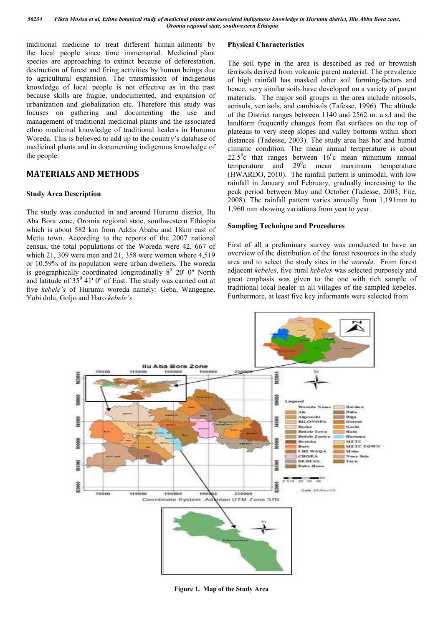traditional medicine to treat different human ailments by the local people since time immemorial. Medicinal plant species are approaching to extinct because of deforestation, destruction of forest and firing activities by human beings due to agricultural expansion. The transmission of indigenous knowledge of local people is not effective as in the past because skills are fragile, undocumented, and expansion of urbanization and globalization etc. Therefore this study was focuses on gathering and documenting the use and management of traditional medicinal plants and the associated ethno medicinal knowledge of traditional healers in Hurumu Woreda. This is believed to add up to the country's database of medicinal plants and in documenting indigenous knowledge of the people.

# **MATERIALS AND METHODS**

## **Study Area Description**

The study was conducted in and around Hurumu district, Ilu Aba Bora zone, Oromia regional state, southwestern Ethiopia which is about 582 km from Addis Ababa and 18km east of Mettu town. According to the reports of the 2007 national census, the total populations of the Woreda were 42, 667 of which 21, 309 were men and 21, 358 were women where 4,519 or 10.59% of its population were urban dwellers. The woreda is geographically coordinated longitudinally  $8^0$  20' 0" North and latitude of  $35<sup>0</sup>$  41' 0" of East. The study was carried out at five *kebele's* of Hurumu woreda namely: Geba, Wangegne, Yobi dola, Goljo and Haro *kebele's*.

# **Physical Characteristics**

The soil type in the area is described as red or brownish ferrisols derived from volcanic parent material. The prevalence of high rainfall has masked other soil forming-factors and hence, very similar soils have developed on a variety of parent materials. The major soil groups in the area include nitosols, acrisols, vertisols, and cambisols (Tafesse, 1996). The altitude of the District ranges between 1140 and 2562 m. a.s.l and the landform frequently changes from flat surfaces on the top of plateaus to very steep slopes and valley bottoms within short distances (Tadesse, 2003). The study area has hot and humid climatic condition. The mean annual temperature is about  $22.5^{\circ}$ c that ranges between  $16^{\circ}$ c mean minimum annual temperature and  $29^\circ$ c mean maximum temperature (HWARDO, 2010). The rainfall pattern is unimodal, with low rainfall in January and February, gradually increasing to the peak period between May and October (Tadesse, 2003; Fite, 2008). The rainfall pattern varies annually from 1,191mm to 1,960 mm showing variations from year to year.

# **Sampling Technique and Procedures**

First of all a preliminary survey was conducted to have an overview of the distribution of the forest resources in the study area and to select the study sites in the *woreda*. From forest adjacent *kebeles*, five rural *kebeles* was selected purposely and great emphasis was given to the one with rich sample of traditional local healer in all villages of the sampled kebeles. Furthermore, at least five key informants were selected from



**Figure 1. Map of the Study Area**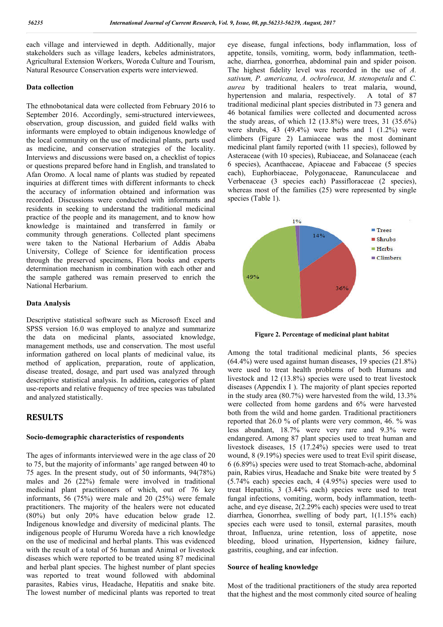each village and interviewed in depth. Additionally, major stakeholders such as village leaders, kebeles administrators, Agricultural Extension Workers, Woreda Culture and Tourism, Natural Resource Conservation experts were interviewed.

#### **Data collection**

The ethnobotanical data were collected from February 2016 to September 2016. Accordingly, semi-structured interviewees, observation, group discussion, and guided field walks with informants were employed to obtain indigenous knowledge of the local community on the use of medicinal plants, parts used as medicine, and conservation strategies of the locality. Interviews and discussions were based on, a checklist of topics or questions prepared before hand in English, and translated to Afan Oromo. A local name of plants was studied by repeated inquiries at different times with different informants to check the accuracy of information obtained and information was recorded. Discussions were conducted with informants and residents in seeking to understand the traditional medicinal practice of the people and its management, and to know how knowledge is maintained and transferred in family or community through generations. Collected plant specimens were taken to the National Herbarium of Addis Ababa University, College of Science for identification process through the preserved specimens, Flora books and experts determination mechanism in combination with each other and the sample gathered was remain preserved to enrich the National Herbarium.

#### **Data Analysis**

Descriptive statistical software such as Microsoft Excel and SPSS version 16.0 was employed to analyze and summarize the data on medicinal plants, associated knowledge, management methods, use and conservation. The most useful information gathered on local plants of medicinal value, its method of application, preparation, route of application, disease treated, dosage, and part used was analyzed through descriptive statistical analysis. In addition**,** categories of plant use-reports and relative frequency of tree species was tabulated and analyzed statistically.

# **RESULTS**

#### **Socio-demographic characteristics of respondents**

The ages of informants interviewed were in the age class of 20 to 75, but the majority of informants' age ranged between 40 to 75 ages. In the present study, out of 50 informants, 94(78%) males and 26 (22%) female were involved in traditional medicinal plant practitioners of which, out of 76 key informants, 56 (75%) were male and 20 (25%) were female practitioners. The majority of the healers were not educated (80%) but only 20% have education below grade 12. Indigenous knowledge and diversity of medicinal plants. The indigenous people of Hurumu Woreda have a rich knowledge on the use of medicinal and herbal plants. This was evidenced with the result of a total of 56 human and Animal or livestock diseases which were reported to be treated using 87 medicinal and herbal plant species. The highest number of plant species was reported to treat wound followed with abdominal parasites, Rabies virus, Headache, Hepatitis and snake bite. The lowest number of medicinal plants was reported to treat

eye disease, fungal infections, body inflammation, loss of appetite, tonsils, vomiting, worm, body inflammation, teethache, diarrhea, gonorrhea, abdominal pain and spider poison. The highest fidelity level was recorded in the use of *A. sativum, P. americana, A. ochroleuca, M. stenopetala* and *C. aurea* by traditional healers to treat malaria, wound, hypertension and malaria, respectively. A total of 87 traditional medicinal plant species distributed in 73 genera and 46 botanical families were collected and documented across the study areas, of which  $12$  ( $13.8\%$ ) were trees,  $31$  ( $35.6\%$ ) were shrubs, 43 (49.4%) were herbs and 1 (1.2%) were climbers (Figure 2) Lamiaceae was the most dominant medicinal plant family reported (with 11 species), followed by Asteraceae (with 10 species), Rubiaceae, and Solanaceae (each 6 species), Acanthaceae, Apiaceae and Fabaceae (5 species each), Euphorbiaceae, Polygonaceae, Ranunculaceae and Verbenaceae (3 species each) Passifloraceae (2 species), whereas most of the families (25) were represented by single species (Table 1).



**Figure 2. Percentage of medicinal plant habitat**

Among the total traditional medicinal plants, 56 species (64.4%) were used against human diseases, 19 species (21.8%) were used to treat health problems of both Humans and livestock and 12 (13.8%) species were used to treat livestock diseases (Appendix I ). The majority of plant species reported in the study area (80.7%) were harvested from the wild, 13.3% were collected from home gardens and 6% were harvested both from the wild and home garden. Traditional practitioners reported that 26.0 % of plants were very common, 46. % was less abundant, 18.7% were very rare and 9.3% were endangered. Among 87 plant species used to treat human and livestock diseases, 15 (17.24%) species were used to treat wound, 8 (9.19%) species were used to treat Evil spirit disease, 6 (6.89%) species were used to treat Stomach-ache, abdominal pain, Rabies virus, Headache and Snake bite were treated by 5 (5.74% each) species each, 4 (4.95%) species were used to treat Hepatitis, 3 (3.44% each) species were used to treat fungal infections, vomiting, worm, body inflammation, teethache, and eye disease, 2(2.29% each) species were used to treat diarrhea, Gonorrhea, swelling of body part, 1(1.15% each) species each were used to tonsil, external parasites, mouth throat, Influenza, urine retention, loss of appetite, nose bleeding, blood urination, Hypertension, kidney failure, gastritis, coughing, and ear infection.

## **Source of healing knowledge**

Most of the traditional practitioners of the study area reported that the highest and the most commonly cited source of healing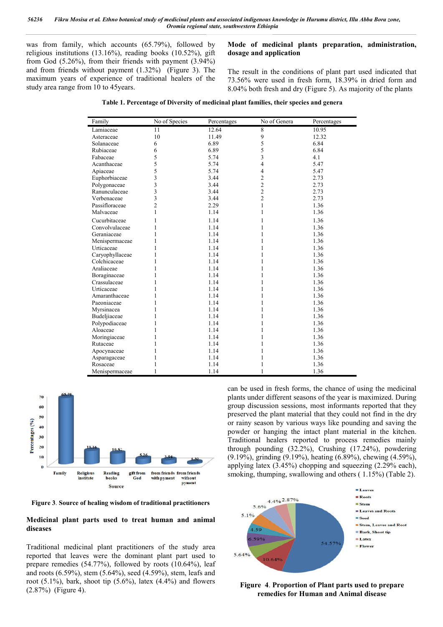was from family, which accounts (65.79%), followed by religious institutions (13.16%), reading books (10.52%), gift from God (5.26%), from their friends with payment (3.94%) and from friends without payment (1.32%) (Figure 3). The maximum years of experience of traditional healers of the study area range from 10 to 45years.

## **Mode of medicinal plants preparation, administration, dosage and application**

The result in the conditions of plant part used indicated that 73.56% were used in fresh form, 18.39% in dried form and 8.04% both fresh and dry (Figure 5). As majority of the plants

| Family          | No of Species  | Percentages | No of Genera   | Percentages |
|-----------------|----------------|-------------|----------------|-------------|
| Lamiaceae       | 11             | 12.64       | 8              | 10.95       |
| Asteraceae      | 10             | 11.49       | 9              | 12.32       |
| Solanaceae      | 6              | 6.89        | 5              | 6.84        |
| Rubiaceae       | 6              | 6.89        | 5              | 6.84        |
| Fabaceae        | 5              | 5.74        | 3              | 4.1         |
| Acanthaceae     | 5              | 5.74        | $\overline{4}$ | 5.47        |
| Apiaceae        | 5              | 5.74        | $\overline{4}$ | 5.47        |
| Euphorbiaceae   | 3              | 3.44        | 2              | 2.73        |
| Polygonaceae    | 3              | 3.44        | $\overline{c}$ | 2.73        |
| Ranunculaceae   | 3              | 3.44        | $\overline{c}$ | 2.73        |
| Verbenaceae     | 3              | 3.44        | $\overline{2}$ | 2.73        |
| Passifloraceae  | $\overline{c}$ | 2.29        | 1              | 1.36        |
| Malvaceae       | 1              | 1.14        | 1              | 1.36        |
| Cucurbitaceae   | 1              | 1.14        | 1              | 1.36        |
| Convolvulaceae  | 1              | 1.14        | 1              | 1.36        |
| Geraniaceae     | 1              | 1.14        | 1              | 1.36        |
| Menispermaceae  | 1              | 1.14        | 1              | 1.36        |
| Urticaceae      | 1              | 1.14        | 1              | 1.36        |
| Caryophyllaceae | 1              | 1.14        | 1              | 1.36        |
| Colchicaceae    | 1              | 1.14        | 1              | 1.36        |
| Araliaceae      | 1              | 1.14        | 1              | 1.36        |
| Boraginaceae    | 1              | 1.14        | 1              | 1.36        |
| Crassulaceae    | 1              | 1.14        | 1              | 1.36        |
| Urticaceae      | 1              | 1.14        | 1              | 1.36        |
| Amaranthaceae   | 1              | 1.14        | 1              | 1.36        |
| Paeoniaceae     | 1              | 1.14        | 1              | 1.36        |
| Myrsinacea      | 1              | 1.14        | 1              | 1.36        |
| Budeljiaceae    | 1              | 1.14        | 1              | 1.36        |
| Polypodiaceae   | 1              | 1.14        | 1              | 1.36        |
| Aloaceae        | 1              | 1.14        | 1              | 1.36        |
| Moringiaceae    | 1              | 1.14        | 1              | 1.36        |
| Rutaceae        |                | 1.14        | 1              | 1.36        |
| Apocynaceae     |                | 1.14        |                | 1.36        |
| Asparagaceae    | 1              | 1.14        |                | 1.36        |
| Rosaceae        | 1              | 1.14        |                | 1.36        |
| Menispermaceae  | 1              | 1.14        |                | 1.36        |

**Table 1. Percentage of Diversity of medicinal plant families, their species and genera**



**Figure 3**. **Source of healing wisdom of traditional practitioners**

# **Medicinal plant parts used to treat human and animal diseases**

Traditional medicinal plant practitioners of the study area reported that leaves were the dominant plant part used to prepare remedies (54.77%), followed by roots (10.64%), leaf and roots (6.59%), stem (5.64%), seed (4.59%), stem, leafs and root  $(5.1\%)$ , bark, shoot tip  $(5.6\%)$ , latex  $(4.4\%)$  and flowers (2.87%) (Figure 4).

can be used in fresh forms, the chance of using the medicinal plants under different seasons of the year is maximized. During group discussion sessions, most informants reported that they preserved the plant material that they could not find in the dry or rainy season by various ways like pounding and saving the powder or hanging the intact plant material in the kitchen. Traditional healers reported to process remedies mainly through pounding (32.2%), Crushing (17.24%), powdering (9.19%), grinding (9.19%), heating (6.89%), chewing (4.59%), applying latex (3.45%) chopping and squeezing (2.29% each), smoking, thumping, swallowing and others ( 1.15%) (Table 2).



**Figure 4**. **Proportion of Plant parts used to prepare remedies for Human and Animal disease**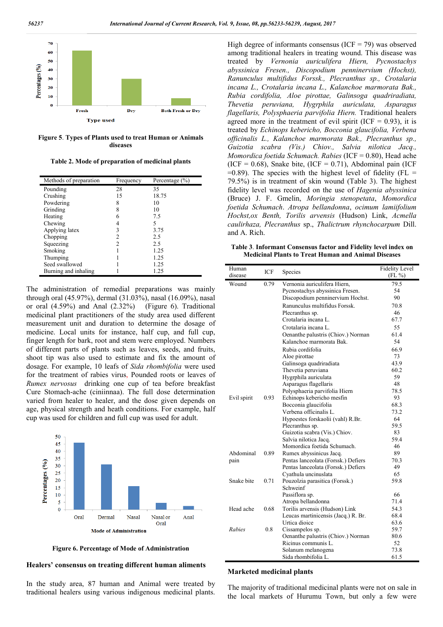

**Figure 5**. **Types of Plants used to treat Human or Animals diseases**

**Table 2. Mode of preparation of medicinal plants**

| Methods of preparation | Frequency     | Percentage $(\% )$ |
|------------------------|---------------|--------------------|
| Pounding               | 28            | 35                 |
| Crushing               | 15            | 18.75              |
| Powdering              | 8             | 10                 |
| Grinding               | 8             | 10                 |
| Heating                | 6             | 7.5                |
| Chewing                | 4             | 5                  |
| Applying latex         | 3             | 3.75               |
| Chopping               | $\mathcal{D}$ | 2.5                |
| Squeezing              | $\mathcal{D}$ | 2.5                |
| Smoking                |               | 1.25               |
| Thumping               |               | 1.25               |
| Seed swallowed         |               | 1.25               |
| Burning and inhaling   |               | 1.25               |

The administration of remedial preparations was mainly through oral (45.97%), dermal (31.03%), nasal (16.09%), nasal or oral (4.59%) and Anal (2.32%) (Figure 6). Traditional medicinal plant practitioners of the study area used different measurement unit and duration to determine the dosage of medicine. Local units for instance, half cup, and full cup, finger length for bark, root and stem were employed. Numbers of different parts of plants such as leaves, seeds, and fruits, shoot tip was also used to estimate and fix the amount of dosage. For example, 10 leafs of *Sida rhombifolia* were used for the treatment of rabies virus, Pounded roots or leaves of *Rumex nervosus* drinking one cup of tea before breakfast Cure Stomach-ache (ciniinnaa). The full dose determination varied from healer to healer, and the dose given depends on age, physical strength and heath conditions. For example, half cup was used for children and full cup was used for adult.



**Figure 6. Percentage of Mode of Administration**

#### **Healers' consensus on treating different human aliments**

In the study area, 87 human and Animal were treated by traditional healers using various indigenous medicinal plants.

High degree of informants consensus (ICF = 79) was observed among traditional healers in treating wound. This disease was treated by *Vernonia auriculifera Hiern, Pycnostachys abyssinica Fresen., Discopodium penninervium (Hochst), Ranunculus multifidus Forssk., Plecranthus sp., Crotalaria incana L., Crotalaria incana L., Kalanchoe marmorata Bak., Rubia cordifolia, Aloe pirottae, Galinsoga quadriradiata, Thevetia peruviana, Hygrphila auriculata, Asparagus flagellaris, Polysphaeria parvifolia Hiern.* Traditional healers agreed more in the treatment of evil spirit (ICF  $= 0.93$ ), it is treated by *Echinops kebericho, Bocconia glaucifolia, Verbena officinalis L., Kalanchoe marmorata Bak., Plecranthus sp., Guizotia scabra (Vis.) Chiov., Salvia nilotica Jacq., Momordica foetida Schumach. Rabies* (ICF = 0.80), Head ache  $(ICF = 0.68)$ , Snake bite,  $(ICF = 0.71)$ , Abdominal pain (ICF)  $=0.89$ ). The species with the highest level of fidelity (FL  $=$ 79.5%) is in treatment of skin wound (Table 3). The highest fidelity level was recorded on the use of *Hagenia abyssinica* (Bruce) J. F. Gmelin, *Moringia stenopetata*, *Momordica foetida Schumach*. *Atropa bellandonna*, *ocimum lamiifolium Hochst,ox Benth, Torilis arvensis* (Hudson) Link, *Acmella caulirhaza, Plecranthus* sp., *Thalictrum rhynchocarpum* Dill. and A. Rich.

**Table 3**. **Informant Consensus factor and Fidelity level index on Medicinal Plants to Treat Human and Animal Diseases**

| Human<br>disease | <b>ICF</b> | Species                                    | <b>Fidelity Level</b><br>$(FL\,\% )$ |
|------------------|------------|--------------------------------------------|--------------------------------------|
| Wound            | 0.79       | Vernonia auriculifera Hiern,               | 79.5                                 |
|                  |            | Pycnostachys abyssinica Fresen.            | 54                                   |
|                  |            | Discopodium penninervium Hochst.           | 90                                   |
|                  |            | Ranunculus multifidus Forssk.              | 70.8                                 |
|                  |            | Plecranthus sp.                            | 46                                   |
|                  |            | Crotalaria incana L.                       | 67.7                                 |
|                  |            | Crotalaria incana L.                       | 55                                   |
|                  |            | Oenanthe palustris (Chiov.) Norman         | 61.4                                 |
|                  |            | Kalanchoe marmorata Bak.                   | 54                                   |
|                  |            | Rubia cordifolia                           | 66.9                                 |
|                  |            | Aloe pirottae                              | 73                                   |
|                  |            | Galinsoga quadriradiata                    | 43.9                                 |
|                  |            | Thevetia peruviana                         | 60.2                                 |
|                  |            | Hygrphila auriculata                       | 59                                   |
|                  |            | Asparagus flagellaris                      | 48                                   |
|                  |            | Polysphaeria parvifolia Hiern              | 78.5                                 |
| Evil spirit      | 0.93       | Echinops kebericho mesfin                  | 93                                   |
|                  |            | Bocconia glaucifolia                       | 68.3                                 |
|                  |            | Verbena officinalis L.                     | 73.2                                 |
|                  |            | Hypoestes forskaolii (vahl) R.Br.          | 64                                   |
|                  |            | Plecranthus sp.                            | 59.5                                 |
|                  |            | Guizotia scabra (Vis.) Chiov.              | 83                                   |
|                  |            | Salvia nilotica Jacq.                      | 59.4                                 |
|                  |            | Momordica foetida Schumach.                | 46                                   |
| Abdominal        | 0.89       | Rumex abyssinicus Jacq.                    | 89                                   |
| pain             |            | Pentas lanceolata (Forssk.) Defiers        | 70.3                                 |
|                  |            | Pentas lanceolata (Forssk.) Defiers        | 49                                   |
|                  |            | Cyathula uncinuslata                       | 65                                   |
| Snake bite       | 0.71       | Pouzolzia parasitica (Forssk.)<br>Schweinf | 59.8                                 |
|                  |            | Passiflora sp.                             | 66                                   |
|                  |            | Atropa bellandonna                         | 71.4                                 |
| Head ache        | 0.68       | Torilis arvensis (Hudson) Link             | 54.3                                 |
|                  |            | Leucas martinicensis (Jacq.) R. Br.        | 68.4                                 |
|                  |            | Urtica dioice                              | 63.6                                 |
| Rabies           | 0.8        | Cissampelos sp.                            | 59.7                                 |
|                  |            | Oenanthe palustris (Chiov.) Norman         | 80.6                                 |
|                  |            | Ricinus communis L.                        | 52                                   |
|                  |            | Solanum melanogena                         | 73.8                                 |
|                  |            | Sida rhombifolia L.                        | 61.5                                 |

#### **Marketed medicinal plants**

The majority of traditional medicinal plants were not on sale in the local markets of Hurumu Town, but only a few were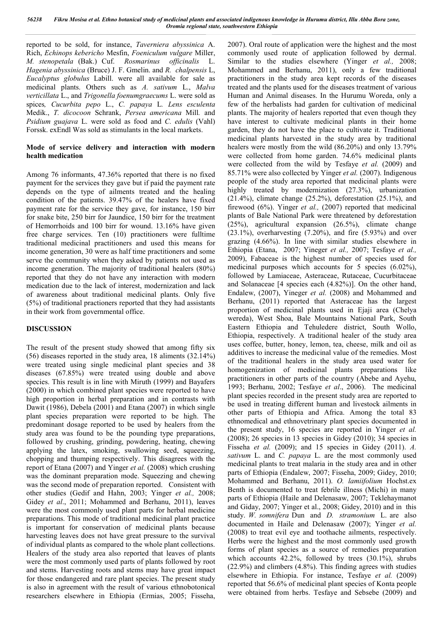reported to be sold, for instance, *Taverniera abyssinica* A. Rich, *Echinops kebericho* Mesfin, *Foeniculum vulgare* Miller, *M. stenopetala* (Bak.) Cuf. *Rosmarinus officinalis* L. *Hagenia abyssinica* (Bruce) J. F. Gmelin. and *R. chalpensis* L, *Eucalyptus globulus* Labill. were all available for sale as medicinal plants. Others such as *A. sativum* L., *Malva verticillata* L., and *Trigonella foenumgraecums* L. were sold as spices*, Cucurbita pepo* L., *C. papaya* L*. Lens esculenta*  Medik., *T. dicocoon* Schrank, *Persea americana* Mill*.* and *Psidium guajava* L. were sold as food and *C. edulis* (Vahl) Forssk. exEndl Was sold as stimulants in the local markets.

# **Mode of service delivery and interaction with modern health medication**

Among 76 informants, 47.36% reported that there is no fixed payment for the services they gave but if paid the payment rate depends on the type of ailments treated and the healing condition of the patients. 39.47% of the healers have fixed payment rate for the service they gave, for instance, 150 birr for snake bite, 250 birr for Jaundice, 150 birr for the treatment of Hemorrhoids and 100 birr for wound. 13.16% have given free charge services. Ten (10) practitioners were fulltime traditional medicinal practitioners and used this means for income generation, 30 were as half time practitioners and some serve the community when they asked by patients not used as income generation. The majority of traditional healers (80%) reported that they do not have any interaction with modern medication due to the lack of interest, modernization and lack of awareness about traditional medicinal plants. Only five (5%) of traditional practioners reported that they had assistants in their work from governmental office.

# **DISCUSSION**

The result of the present study showed that among fifty six (56) diseases reported in the study area, 18 aliments (32.14%) were treated using single medicinal plant species and 38 diseases (67.85%) were treated using double and above species. This result is in line with Miruth (1999) and Bayafers (2000) in which combined plant species were reported to have high proportion in herbal preparation and in contrasts with Dawit (1986), Debela (2001) and Etana (2007) in which single plant species preparation were reported to be high. The predominant dosage reported to be used by healers from the study area was found to be the pounding type preparations, followed by crushing, grinding, powdering, heating, chewing applying the latex, smoking, swallowing seed, squeezing, chopping and thumping respectively. This disagrees with the report of Etana (2007) and Yinger *et al.* (2008) which crushing was the dominant preparation mode. Squeezing and chewing was the second mode of preparation reported. Consistent with other studies (Gedif and Hahn, 2003; Yinger *et al.,* 2008; Gidey *et al*., 2011; Mohammed and Berhanu, 2011), leaves were the most commonly used plant parts for herbal medicine preparations. This mode of traditional medicinal plant practice is important for conservation of medicinal plants because harvesting leaves does not have great pressure to the survival of individual plants as compared to the whole plant collections. Healers of the study area also reported that leaves of plants were the most commonly used parts of plants followed by root and stems. Harvesting roots and stems may have great impact for those endangered and rare plant species. The present study is also in agreement with the result of various ethnobotonical researchers elsewhere in Ethiopia (Ermias, 2005; Fisseha,

2007). Oral route of application were the highest and the most commonly used route of application followed by dermal. Similar to the studies elsewhere (Yinger *et al.,* 2008; Mohammed and Berhanu, 2011), only a few traditional practitioners in the study area kept records of the diseases treated and the plants used for the diseases treatment of various Human and Animal diseases. In the Hurumu Woreda, only a few of the herbalists had garden for cultivation of medicinal plants. The majority of healers reported that even though they have interest to cultivate medicinal plants in their home garden, they do not have the place to cultivate it. Traditional medicinal plants harvested in the study area by traditional healers were mostly from the wild (86.20%) and only 13.79% were collected from home garden. 74.6% medicinal plants were collected from the wild by Tesfaye *et al.* (2009) and 85.71% were also collected by Yinger *et al.* (2007). Indigenous people of the study area reported that medicinal plants were highly treated by modernization (27.3%), urbanization (21.4%), climate change (25.2%), deforestation (25.1%), and firewood (6%). Yinger *et al.,* (2007) reported that medicinal plants of Bale National Park were threatened by deforestation (25%), agricultural expansion (26.5%), climate change  $(23.1\%)$ , overharvesting  $(7.20\%)$ , and fire  $(5.93\%)$  and over grazing (4.66%). In line with similar studies elsewhere in Ethiopia (Etana, 2007; Yineger *et al.,* 2007; Tesfaye *et al.,* 2009), Fabaceae is the highest number of species used for medicinal purposes which accounts for 5 species (6.02%), followed by Lamiaceae, Asteraceae, Rutaceae, Cucurbitaceae and Solanaceae [4 species each (4.82%)]. On the other hand, Endalew, (2007), Yineger *et al.* (2008) and Mohammed and Berhanu, (2011) reported that Asteraceae has the largest proportion of medicinal plants used in Ejaji area (Chelya wereda), West Shoa, Bale Mountains National Park, South Eastern Ethiopia and Tehuledere district, South Wollo, Ethiopia, respectively. A traditional healer of the study area uses coffee, butter, honey, lemon, tea, cheese, milk and oil as additives to increase the medicinal value of the remedies. Most of the traditional healers in the study area used water for homogenization of medicinal plants preparations like practitioners in other parts of the country (Abebe and Ayehu, 1993; Berhanu, 2002; Tesfaye *et al*., 2006). The medicinal plant species recorded in the present study area are reported to be used in treating different human and livestock ailments in other parts of Ethiopia and Africa. Among the total 83 ethnomedical and ethnovetrinary plant species documented in the present study, 16 species are reported in Yinger *et al.* (2008); 26 species in 13 species in Gidey (2010); 34 species in Fisseha *et al.* (2009); and 15 species in Gidey (2011). *A. sativum* L. and *C. papaya* L. are the most commonly used medicinal plants to treat malaria in the study area and in other parts of Ethiopia (Endalew, 2007; Fisseha, 2009; Gidey, 2010; Mohammed and Berhanu, 2011). *O. lamiifolium* Hochst.ex Benth is documented to treat febrile illness (Michi) in many parts of Ethiopia (Haile and Delenasaw, 2007; Teklehaymanot and Giday, 2007; Yinger et al., 2008; Gidey, 2010) and in this study. *W. somnifera* Dun and *D. stramonium* L. are also documented in Haile and Delenasaw (2007); Yinger *et al.*  (2008) to treat evil eye and toothache ailments, respectively. Herbs were the highest and the most commonly used growth forms of plant species as a source of remedies preparation which accounts 42.2%, followed by trees (30.1%), shrubs (22.9%) and climbers (4.8%). This finding agrees with studies elsewhere in Ethiopia. For instance, Tesfaye *et al.* (2009) reported that 56.6% of medicinal plant species of Konta people were obtained from herbs. Tesfaye and Sebsebe (2009) and